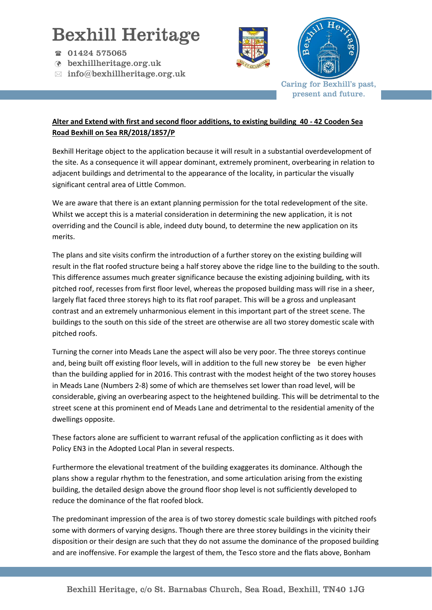## Bexhill Heritage

- 01424 575065
- bexhillheritage.org.uk
- $\boxtimes$  info@bexhillheritage.org.uk





Caring for Bexhill's past, present and future.

## **Alter and Extend with first and second floor additions, to existing building 40 - 42 Cooden Sea Road Bexhill on Sea RR/2018/1857/P**

Bexhill Heritage object to the application because it will result in a substantial overdevelopment of the site. As a consequence it will appear dominant, extremely prominent, overbearing in relation to adjacent buildings and detrimental to the appearance of the locality, in particular the visually significant central area of Little Common.

We are aware that there is an extant planning permission for the total redevelopment of the site. Whilst we accept this is a material consideration in determining the new application, it is not overriding and the Council is able, indeed duty bound, to determine the new application on its merits.

The plans and site visits confirm the introduction of a further storey on the existing building will result in the flat roofed structure being a half storey above the ridge line to the building to the south. This difference assumes much greater significance because the existing adjoining building, with its pitched roof, recesses from first floor level, whereas the proposed building mass will rise in a sheer, largely flat faced three storeys high to its flat roof parapet. This will be a gross and unpleasant contrast and an extremely unharmonious element in this important part of the street scene. The buildings to the south on this side of the street are otherwise are all two storey domestic scale with pitched roofs.

Turning the corner into Meads Lane the aspect will also be very poor. The three storeys continue and, being built off existing floor levels, will in addition to the full new storey be be even higher than the building applied for in 2016. This contrast with the modest height of the two storey houses in Meads Lane (Numbers 2-8) some of which are themselves set lower than road level, will be considerable, giving an overbearing aspect to the heightened building. This will be detrimental to the street scene at this prominent end of Meads Lane and detrimental to the residential amenity of the dwellings opposite.

These factors alone are sufficient to warrant refusal of the application conflicting as it does with Policy EN3 in the Adopted Local Plan in several respects.

Furthermore the elevational treatment of the building exaggerates its dominance. Although the plans show a regular rhythm to the fenestration, and some articulation arising from the existing building, the detailed design above the ground floor shop level is not sufficiently developed to reduce the dominance of the flat roofed block.

The predominant impression of the area is of two storey domestic scale buildings with pitched roofs some with dormers of varying designs. Though there are three storey buildings in the vicinity their disposition or their design are such that they do not assume the dominance of the proposed building and are inoffensive. For example the largest of them, the Tesco store and the flats above, Bonham